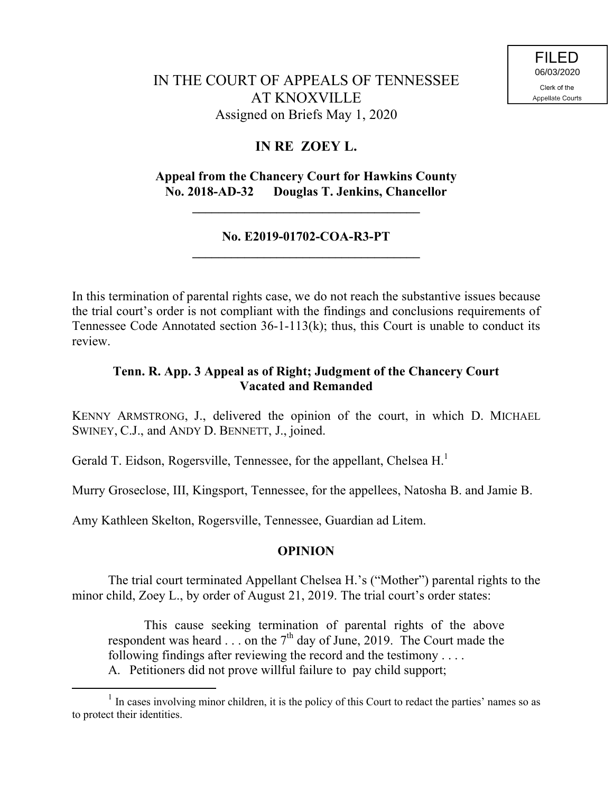# **IN RE ZOEY L.**

## **Appeal from the Chancery Court for Hawkins County No. 2018-AD-32 Douglas T. Jenkins, Chancellor**

**\_\_\_\_\_\_\_\_\_\_\_\_\_\_\_\_\_\_\_\_\_\_\_\_\_\_\_\_\_\_\_\_\_\_\_**

#### **No. E2019-01702-COA-R3-PT \_\_\_\_\_\_\_\_\_\_\_\_\_\_\_\_\_\_\_\_\_\_\_\_\_\_\_\_\_\_\_\_\_\_\_**

In this termination of parental rights case, we do not reach the substantive issues because the trial court's order is not compliant with the findings and conclusions requirements of Tennessee Code Annotated section 36-1-113(k); thus, this Court is unable to conduct its review.

## **Tenn. R. App. 3 Appeal as of Right; Judgment of the Chancery Court Vacated and Remanded**

KENNY ARMSTRONG, J., delivered the opinion of the court, in which D. MICHAEL SWINEY, C.J., and ANDY D. BENNETT, J., joined.

Gerald T. Eidson, Rogersville, Tennessee, for the appellant, Chelsea H.<sup>1</sup>

Murry Groseclose, III, Kingsport, Tennessee, for the appellees, Natosha B. and Jamie B.

Amy Kathleen Skelton, Rogersville, Tennessee, Guardian ad Litem.

### **OPINION**

The trial court terminated Appellant Chelsea H.'s ("Mother") parental rights to the minor child, Zoey L., by order of August 21, 2019. The trial court's order states:

This cause seeking termination of parental rights of the above respondent was heard  $\ldots$  on the 7<sup>th</sup> day of June, 2019. The Court made the following findings after reviewing the record and the testimony . . . . A. Petitioners did not prove willful failure to pay child support;

<sup>&</sup>lt;sup>1</sup> In cases involving minor children, it is the policy of this Court to redact the parties' names so as to protect their identities.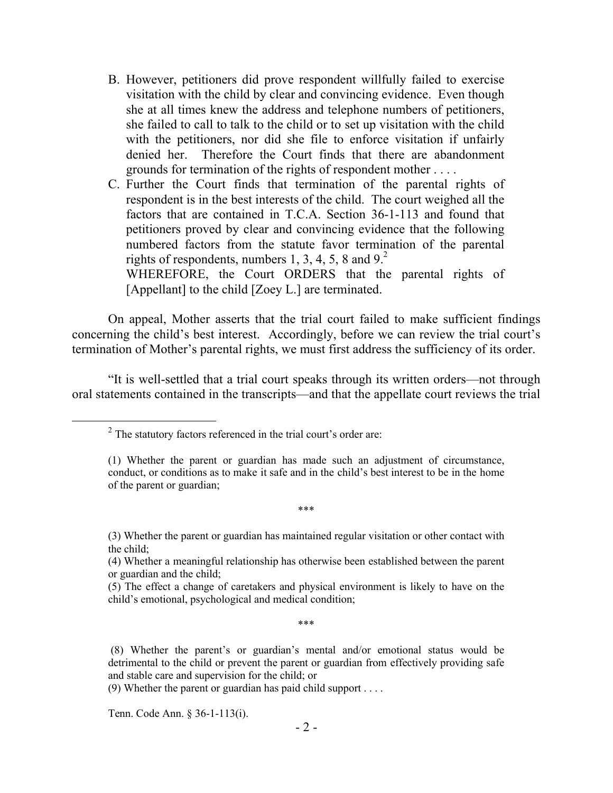B. However, petitioners did prove respondent willfully failed to exercise visitation with the child by clear and convincing evidence. Even though she at all times knew the address and telephone numbers of petitioners, she failed to call to talk to the child or to set up visitation with the child with the petitioners, nor did she file to enforce visitation if unfairly denied her. Therefore the Court finds that there are abandonment grounds for termination of the rights of respondent mother . . . .

C. Further the Court finds that termination of the parental rights of respondent is in the best interests of the child. The court weighed all the factors that are contained in T.C.A. Section 36-1-113 and found that petitioners proved by clear and convincing evidence that the following numbered factors from the statute favor termination of the parental rights of respondents, numbers 1, 3, 4, 5, 8 and  $9<sup>2</sup>$ .

WHEREFORE, the Court ORDERS that the parental rights of [Appellant] to the child [Zoey L.] are terminated.

On appeal, Mother asserts that the trial court failed to make sufficient findings concerning the child's best interest. Accordingly, before we can review the trial court's termination of Mother's parental rights, we must first address the sufficiency of its order.

"It is well-settled that a trial court speaks through its written orders—not through oral statements contained in the transcripts—and that the appellate court reviews the trial

\*\*\*

\*\*\*

Tenn. Code Ann. § 36-1-113(i).

 $\overline{a}$ 

 $2^2$  The statutory factors referenced in the trial court's order are:

<sup>(1)</sup> Whether the parent or guardian has made such an adjustment of circumstance, conduct, or conditions as to make it safe and in the child's best interest to be in the home of the parent or guardian;

<sup>(3)</sup> Whether the parent or guardian has maintained regular visitation or other contact with the child;

<sup>(4)</sup> Whether a meaningful relationship has otherwise been established between the parent or guardian and the child;

<sup>(5)</sup> The effect a change of caretakers and physical environment is likely to have on the child's emotional, psychological and medical condition;

<sup>(8)</sup> Whether the parent's or guardian's mental and/or emotional status would be detrimental to the child or prevent the parent or guardian from effectively providing safe and stable care and supervision for the child; or

<sup>(9)</sup> Whether the parent or guardian has paid child support . . . .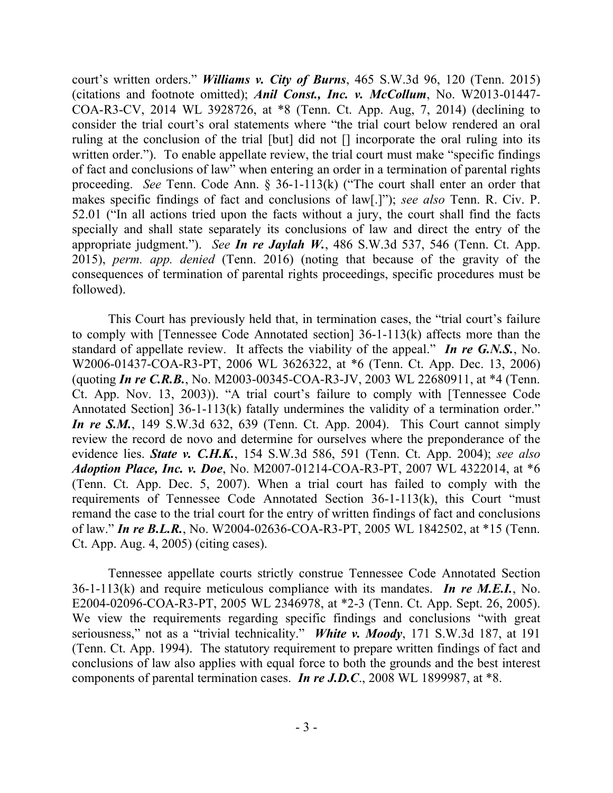court's written orders." *Williams v. City of Burns*, 465 S.W.3d 96, 120 (Tenn. 2015) (citations and footnote omitted); *Anil Const., Inc. v. McCollum*, No. W2013-01447- COA-R3-CV, 2014 WL 3928726, at \*8 (Tenn. Ct. App. Aug, 7, 2014) (declining to consider the trial court's oral statements where "the trial court below rendered an oral ruling at the conclusion of the trial [but] did not [] incorporate the oral ruling into its written order."). To enable appellate review, the trial court must make "specific findings" of fact and conclusions of law" when entering an order in a termination of parental rights proceeding. *See* Tenn. Code Ann. § 36-1-113(k) ("The court shall enter an order that makes specific findings of fact and conclusions of law[.]"); *see also* Tenn. R. Civ. P. 52.01 ("In all actions tried upon the facts without a jury, the court shall find the facts specially and shall state separately its conclusions of law and direct the entry of the appropriate judgment."). *See In re Jaylah W.*, 486 S.W.3d 537, 546 (Tenn. Ct. App. 2015), *perm. app. denied* (Tenn. 2016) (noting that because of the gravity of the consequences of termination of parental rights proceedings, specific procedures must be followed).

This Court has previously held that, in termination cases, the "trial court's failure to comply with [Tennessee Code Annotated section] 36-1-113(k) affects more than the standard of appellate review. It affects the viability of the appeal." *In re G.N.S.*, No. W2006-01437-COA-R3-PT, 2006 WL 3626322, at \*6 (Tenn. Ct. App. Dec. 13, 2006) (quoting *In re C.R.B.*, No. M2003-00345-COA-R3-JV, 2003 WL 22680911, at \*4 (Tenn. Ct. App. Nov. 13, 2003)). "A trial court's failure to comply with [Tennessee Code Annotated Section] 36-1-113(k) fatally undermines the validity of a termination order." *In re S.M.*, 149 S.W.3d 632, 639 (Tenn. Ct. App. 2004). This Court cannot simply review the record de novo and determine for ourselves where the preponderance of the evidence lies. *State v. C.H.K.*, 154 S.W.3d 586, 591 (Tenn. Ct. App. 2004); *see also Adoption Place, Inc. v. Doe*, No. M2007-01214-COA-R3-PT, 2007 WL 4322014, at \*6 (Tenn. Ct. App. Dec. 5, 2007). When a trial court has failed to comply with the requirements of Tennessee Code Annotated Section 36-1-113(k), this Court "must remand the case to the trial court for the entry of written findings of fact and conclusions of law." *In re B.L.R.*, No. W2004-02636-COA-R3-PT, 2005 WL 1842502, at \*15 (Tenn. Ct. App. Aug. 4, 2005) (citing cases).

Tennessee appellate courts strictly construe Tennessee Code Annotated Section 36-1-113(k) and require meticulous compliance with its mandates. *In re M.E.I.*, No. E2004-02096-COA-R3-PT, 2005 WL 2346978, at \*2-3 (Tenn. Ct. App. Sept. 26, 2005). We view the requirements regarding specific findings and conclusions "with great seriousness," not as a "trivial technicality." *White v. Moody*, 171 S.W.3d 187, at 191 (Tenn. Ct. App. 1994). The statutory requirement to prepare written findings of fact and conclusions of law also applies with equal force to both the grounds and the best interest components of parental termination cases. *In re J.D.C*., 2008 WL 1899987, at \*8.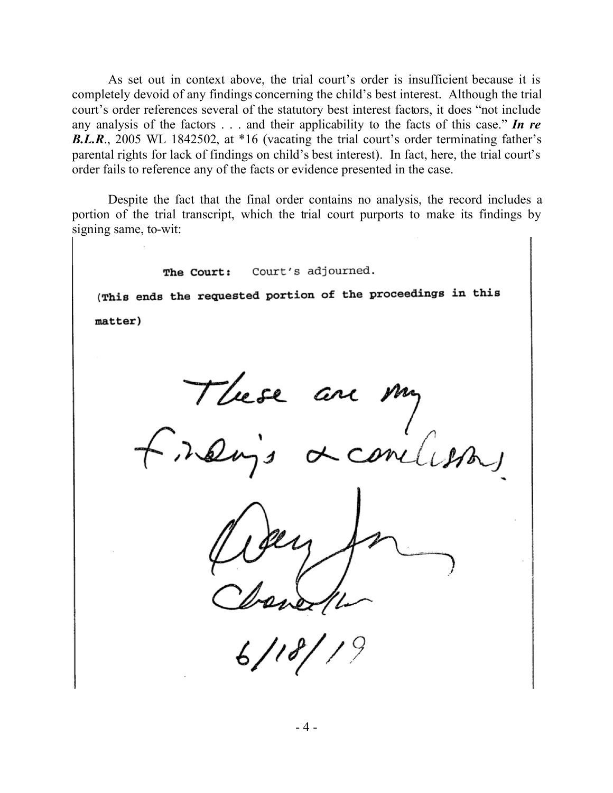As set out in context above, the trial court's order is insufficient because it is completely devoid of any findings concerning the child's best interest. Although the trial court's order references several of the statutory best interest factors, it does "not include any analysis of the factors . . . and their applicability to the facts of this case." *In re B.L.R.*, 2005 WL 1842502, at \*16 (vacating the trial court's order terminating father's parental rights for lack of findings on child's best interest). In fact, here, the trial court's order fails to reference any of the facts or evidence presented in the case.

Despite the fact that the final order contains no analysis, the record includes a portion of the trial transcript, which the trial court purports to make its findings by signing same, to-wit:

The Court: Court's adjourned. (This ends the requested portion of the proceedings in this matter)These are my  $\mathit{oncl}$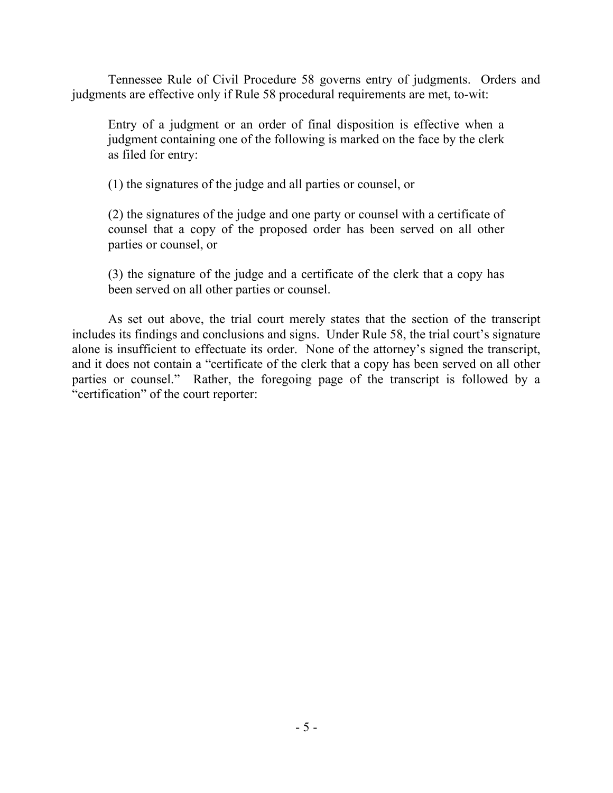Tennessee Rule of Civil Procedure 58 governs entry of judgments. Orders and judgments are effective only if Rule 58 procedural requirements are met, to-wit:

Entry of a judgment or an order of final disposition is effective when a judgment containing one of the following is marked on the face by the clerk as filed for entry:

(1) the signatures of the judge and all parties or counsel, or

(2) the signatures of the judge and one party or counsel with a certificate of counsel that a copy of the proposed order has been served on all other parties or counsel, or

(3) the signature of the judge and a certificate of the clerk that a copy has been served on all other parties or counsel.

As set out above, the trial court merely states that the section of the transcript includes its findings and conclusions and signs. Under Rule 58, the trial court's signature alone is insufficient to effectuate its order. None of the attorney's signed the transcript, and it does not contain a "certificate of the clerk that a copy has been served on all other parties or counsel." Rather, the foregoing page of the transcript is followed by a "certification" of the court reporter: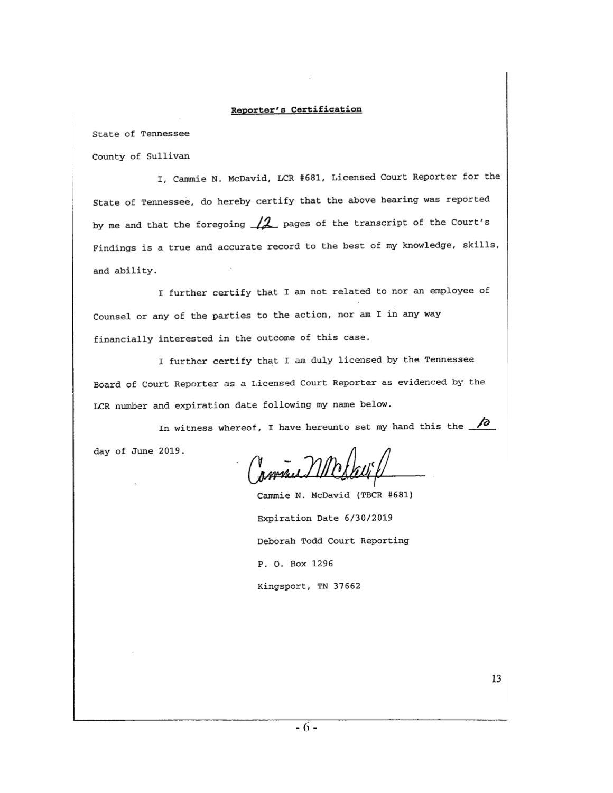#### Reporter's Certification

State of Tennessee

County of Sullivan

I, Cammie N. McDavid, LCR #681, Licensed Court Reporter for the State of Tennessee, do hereby certify that the above hearing was reported by me and that the foregoing  $\sqrt{2}$  pages of the transcript of the Court's Findings is a true and accurate record to the best of my knowledge, skills, and ability.

<sup>I</sup>further certify that I am not related to nor an employee of Counsel or any of the parties to the action, nor am I in any way financially interested in the outcome of this case.

<sup>I</sup>further certify that I am duly licensed by the Tennessee Board of Court Reporter as a Licensed Court Reporter as evidenced by the LCR number and expiration date following my name below.

In witness whereof, I have hereunto set my hand this the  $\sqrt{\partial}$ day of June 2019.

pmnul

Cammie N. McDavid (TBCR #681) Expiration Date 6/30/2019 Deborah Todd Court Reporting P. 0. Box 1296 Kingsport, TN 37662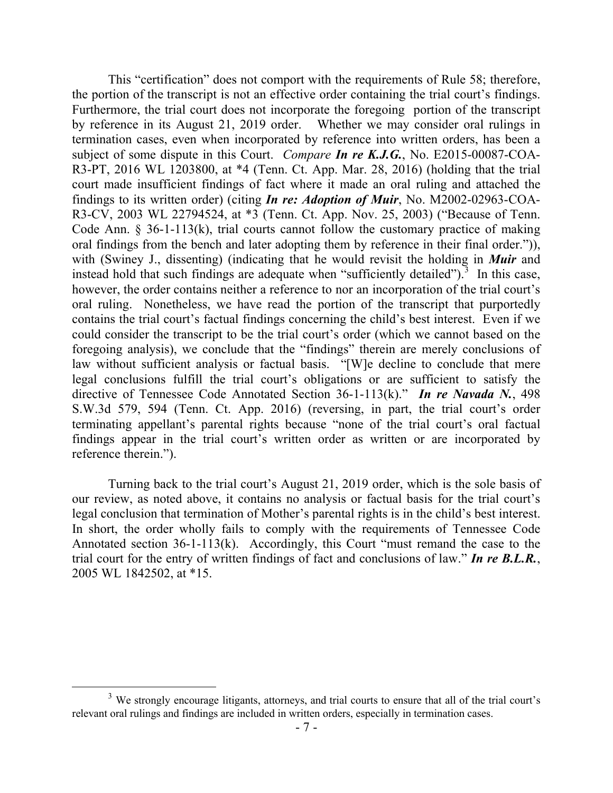This "certification" does not comport with the requirements of Rule 58; therefore, the portion of the transcript is not an effective order containing the trial court's findings. Furthermore, the trial court does not incorporate the foregoing portion of the transcript by reference in its August 21, 2019 order. Whether we may consider oral rulings in termination cases, even when incorporated by reference into written orders, has been a subject of some dispute in this Court. *Compare In re K.J.G.*, No. E2015-00087-COA-R3-PT, 2016 WL 1203800, at \*4 (Tenn. Ct. App. Mar. 28, 2016) (holding that the trial court made insufficient findings of fact where it made an oral ruling and attached the findings to its written order) (citing *In re: Adoption of Muir*, No. M2002-02963-COA-R3-CV, 2003 WL 22794524, at \*3 (Tenn. Ct. App. Nov. 25, 2003) ("Because of Tenn. Code Ann. § 36-1-113(k), trial courts cannot follow the customary practice of making oral findings from the bench and later adopting them by reference in their final order.")), with (Swiney J., dissenting) (indicating that he would revisit the holding in *Muir* and instead hold that such findings are adequate when "sufficiently detailed").<sup>3</sup> In this case, however, the order contains neither a reference to nor an incorporation of the trial court's oral ruling. Nonetheless, we have read the portion of the transcript that purportedly contains the trial court's factual findings concerning the child's best interest. Even if we could consider the transcript to be the trial court's order (which we cannot based on the foregoing analysis), we conclude that the "findings" therein are merely conclusions of law without sufficient analysis or factual basis. "[W]e decline to conclude that mere legal conclusions fulfill the trial court's obligations or are sufficient to satisfy the directive of Tennessee Code Annotated Section 36-1-113(k)." *In re Navada N.*, 498 S.W.3d 579, 594 (Tenn. Ct. App. 2016) (reversing, in part, the trial court's order terminating appellant's parental rights because "none of the trial court's oral factual findings appear in the trial court's written order as written or are incorporated by reference therein.").

Turning back to the trial court's August 21, 2019 order, which is the sole basis of our review, as noted above, it contains no analysis or factual basis for the trial court's legal conclusion that termination of Mother's parental rights is in the child's best interest. In short, the order wholly fails to comply with the requirements of Tennessee Code Annotated section 36-1-113(k). Accordingly, this Court "must remand the case to the trial court for the entry of written findings of fact and conclusions of law." *In re B.L.R.*, 2005 WL 1842502, at \*15.

 $\overline{a}$ 

<sup>&</sup>lt;sup>3</sup> We strongly encourage litigants, attorneys, and trial courts to ensure that all of the trial court's relevant oral rulings and findings are included in written orders, especially in termination cases.